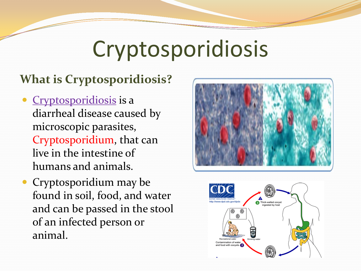# Cryptosporidiosis

#### **What is Cryptosporidiosis?**

- Cryptosporidiosis is a diarrheal disease caused by microscopic parasites, Cryptosporidium, that can live in the intestine of humans and animals.
- Cryptosporidium may be found in soil, food, and water and can be passed in the stool of an infected person or animal.



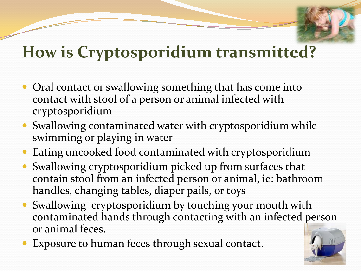## **How is Cryptosporidium transmitted?**

- Oral contact or swallowing something that has come into contact with stool of a person or animal infected with cryptosporidium
- Swallowing contaminated water with cryptosporidium while swimming or playing in water
- Eating uncooked food contaminated with cryptosporidium
- Swallowing cryptosporidium picked up from surfaces that contain stool from an infected person or animal, ie: bathroom handles, changing tables, diaper pails, or toys
- Swallowing cryptosporidium by touching your mouth with contaminated hands through contacting with an infected person or animal feces.
- Exposure to human feces through sexual contact.

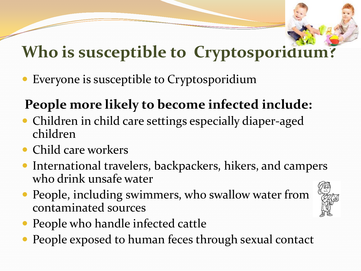## **Who is susceptible to Cryptosporidium?**

Everyone is susceptible to Cryptosporidium

#### **People more likely to become infected include:**

- Children in child care settings especially diaper-aged children
- Child care workers
- International travelers, backpackers, hikers, and campers who drink unsafe water
- People, including swimmers, who swallow water from contaminated sources



- People who handle infected cattle
- People exposed to human feces through sexual contact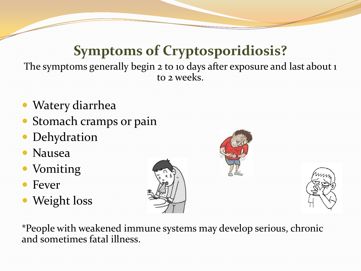#### **Symptoms of Cryptosporidiosis?**

The symptoms generally begin 2 to 10 days after exposure and last about 1 to 2 weeks.

- Watery diarrhea
- Stomach cramps or pain
- Dehydration
- Nausea
- Vomiting
- Fever
- Weight loss

\*People with weakened immune systems may develop serious, chronic and sometimes fatal illness.





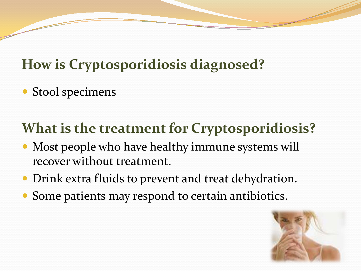#### **How is Cryptosporidiosis diagnosed?**

• Stool specimens

### **What is the treatment for Cryptosporidiosis?**

- Most people who have healthy immune systems will recover without treatment.
- Drink extra fluids to prevent and treat dehydration.
- Some patients may respond to certain antibiotics.